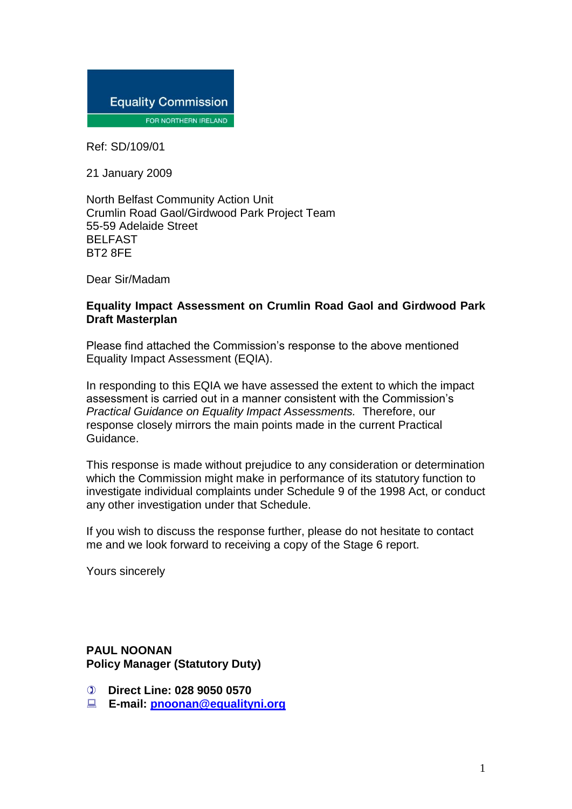

Ref: SD/109/01

21 January 2009

North Belfast Community Action Unit Crumlin Road Gaol/Girdwood Park Project Team 55-59 Adelaide Street BELFAST BT2 8FE

Dear Sir/Madam

#### **Equality Impact Assessment on Crumlin Road Gaol and Girdwood Park Draft Masterplan**

Please find attached the Commission's response to the above mentioned Equality Impact Assessment (EQIA).

In responding to this EQIA we have assessed the extent to which the impact assessment is carried out in a manner consistent with the Commission's *Practical Guidance on Equality Impact Assessments.* Therefore, our response closely mirrors the main points made in the current Practical Guidance.

This response is made without prejudice to any consideration or determination which the Commission might make in performance of its statutory function to investigate individual complaints under Schedule 9 of the 1998 Act, or conduct any other investigation under that Schedule.

If you wish to discuss the response further, please do not hesitate to contact me and we look forward to receiving a copy of the Stage 6 report.

Yours sincerely

#### **PAUL NOONAN Policy Manager (Statutory Duty)**

- **Direct Line: 028 9050 0570**
- **E-mail: [pnoonan@equalityni.org](mailto:cingram@equalityni.org)**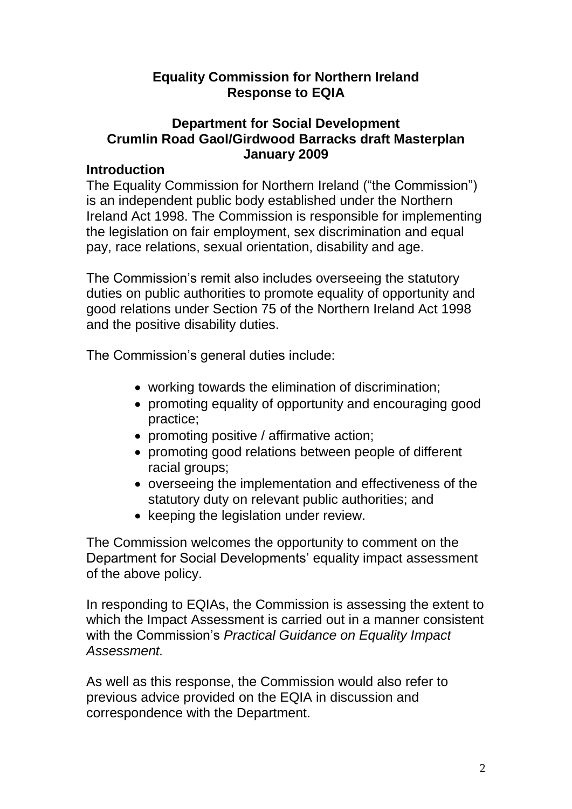# **Equality Commission for Northern Ireland Response to EQIA**

### **Department for Social Development Crumlin Road Gaol/Girdwood Barracks draft Masterplan January 2009**

### **Introduction**

The Equality Commission for Northern Ireland ("the Commission") is an independent public body established under the Northern Ireland Act 1998. The Commission is responsible for implementing the legislation on fair employment, sex discrimination and equal pay, race relations, sexual orientation, disability and age.

The Commission's remit also includes overseeing the statutory duties on public authorities to promote equality of opportunity and good relations under Section 75 of the Northern Ireland Act 1998 and the positive disability duties.

The Commission's general duties include:

- working towards the elimination of discrimination;
- promoting equality of opportunity and encouraging good practice;
- promoting positive / affirmative action;
- promoting good relations between people of different racial groups;
- overseeing the implementation and effectiveness of the statutory duty on relevant public authorities; and
- keeping the legislation under review.

The Commission welcomes the opportunity to comment on the Department for Social Developments' equality impact assessment of the above policy.

In responding to EQIAs, the Commission is assessing the extent to which the Impact Assessment is carried out in a manner consistent with the Commission's *Practical Guidance on Equality Impact Assessment.* 

As well as this response, the Commission would also refer to previous advice provided on the EQIA in discussion and correspondence with the Department.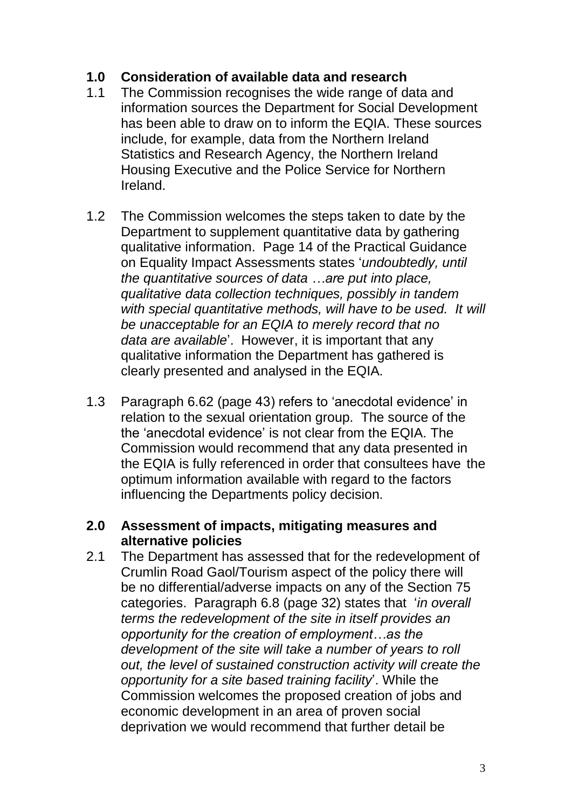# **1.0 Consideration of available data and research**

- 1.1 The Commission recognises the wide range of data and information sources the Department for Social Development has been able to draw on to inform the EQIA. These sources include, for example, data from the Northern Ireland Statistics and Research Agency, the Northern Ireland Housing Executive and the Police Service for Northern Ireland.
- 1.2 The Commission welcomes the steps taken to date by the Department to supplement quantitative data by gathering qualitative information. Page 14 of the Practical Guidance on Equality Impact Assessments states '*undoubtedly, until the quantitative sources of data …are put into place, qualitative data collection techniques, possibly in tandem with special quantitative methods, will have to be used. It will be unacceptable for an EQIA to merely record that no data are available*'. However, it is important that any qualitative information the Department has gathered is clearly presented and analysed in the EQIA.
- 1.3 Paragraph 6.62 (page 43) refers to 'anecdotal evidence' in relation to the sexual orientation group. The source of the the 'anecdotal evidence' is not clear from the EQIA. The Commission would recommend that any data presented in the EQIA is fully referenced in order that consultees have the optimum information available with regard to the factors influencing the Departments policy decision.

# **2.0 Assessment of impacts, mitigating measures and alternative policies**

2.1 The Department has assessed that for the redevelopment of Crumlin Road Gaol/Tourism aspect of the policy there will be no differential/adverse impacts on any of the Section 75 categories. Paragraph 6.8 (page 32) states that '*in overall terms the redevelopment of the site in itself provides an opportunity for the creation of employment…as the development of the site will take a number of years to roll out, the level of sustained construction activity will create the opportunity for a site based training facility*'. While the Commission welcomes the proposed creation of jobs and economic development in an area of proven social deprivation we would recommend that further detail be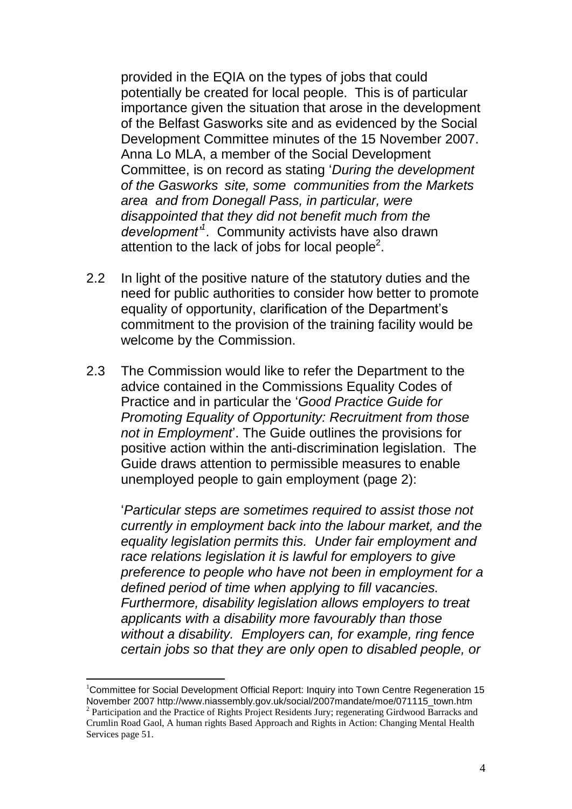provided in the EQIA on the types of jobs that could potentially be created for local people. This is of particular importance given the situation that arose in the development of the Belfast Gasworks site and as evidenced by the Social Development Committee minutes of the 15 November 2007. Anna Lo MLA, a member of the Social Development Committee, is on record as stating '*During the development of the Gasworks site, some communities from the Markets area and from Donegall Pass, in particular, were disappointed that they did not benefit much from the development'<sup>1</sup>* . Community activists have also drawn attention to the lack of jobs for local people<sup>2</sup>.

- 2.2 In light of the positive nature of the statutory duties and the need for public authorities to consider how better to promote equality of opportunity, clarification of the Department's commitment to the provision of the training facility would be welcome by the Commission.
- 2.3 The Commission would like to refer the Department to the advice contained in the Commissions Equality Codes of Practice and in particular the '*Good Practice Guide for Promoting Equality of Opportunity: Recruitment from those not in Employment*'. The Guide outlines the provisions for positive action within the anti-discrimination legislation. The Guide draws attention to permissible measures to enable unemployed people to gain employment (page 2):

'*Particular steps are sometimes required to assist those not currently in employment back into the labour market, and the equality legislation permits this. Under fair employment and race relations legislation it is lawful for employers to give preference to people who have not been in employment for a defined period of time when applying to fill vacancies. Furthermore, disability legislation allows employers to treat applicants with a disability more favourably than those without a disability. Employers can, for example, ring fence certain jobs so that they are only open to disabled people, or* 

 $\overline{a}$ 

<sup>1</sup>Committee for Social Development Official Report: Inquiry into Town Centre Regeneration 15 November 2007 http://www.niassembly.gov.uk/social/2007mandate/moe/071115\_town.htm

<sup>&</sup>lt;sup>2</sup> Participation and the Practice of Rights Project Residents Jury; regenerating Girdwood Barracks and Crumlin Road Gaol, A human rights Based Approach and Rights in Action: Changing Mental Health Services page 51.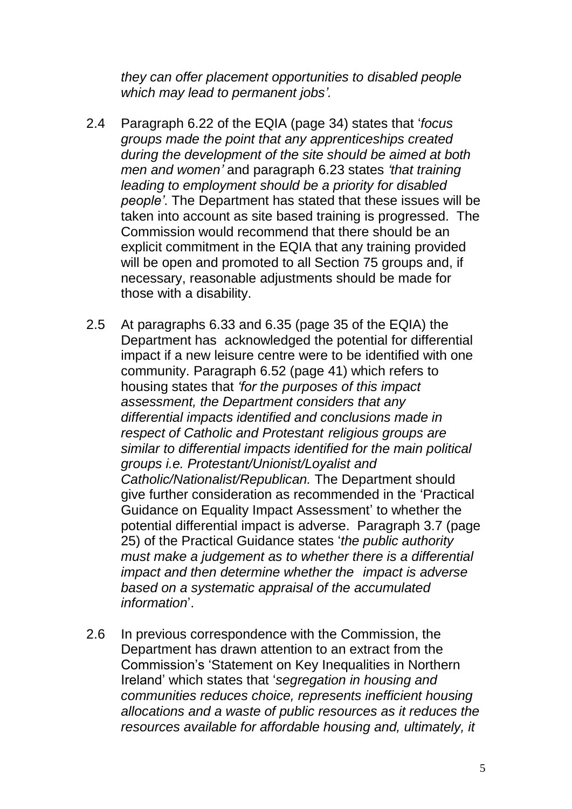*they can offer placement opportunities to disabled people which may lead to permanent jobs'.* 

- 2.4 Paragraph 6.22 of the EQIA (page 34) states that '*focus groups made the point that any apprenticeships created during the development of the site should be aimed at both men and women'* and paragraph 6.23 states *'that training leading to employment should be a priority for disabled people'*. The Department has stated that these issues will be taken into account as site based training is progressed. The Commission would recommend that there should be an explicit commitment in the EQIA that any training provided will be open and promoted to all Section 75 groups and, if necessary, reasonable adjustments should be made for those with a disability.
- 2.5 At paragraphs 6.33 and 6.35 (page 35 of the EQIA) the Department has acknowledged the potential for differential impact if a new leisure centre were to be identified with one community. Paragraph 6.52 (page 41) which refers to housing states that *'for the purposes of this impact assessment, the Department considers that any differential impacts identified and conclusions made in respect of Catholic and Protestant religious groups are similar to differential impacts identified for the main political groups i.e. Protestant/Unionist/Loyalist and Catholic/Nationalist/Republican.* The Department should give further consideration as recommended in the 'Practical Guidance on Equality Impact Assessment' to whether the potential differential impact is adverse. Paragraph 3.7 (page 25) of the Practical Guidance states '*the public authority must make a judgement as to whether there is a differential impact and then determine whether the impact is adverse based on a systematic appraisal of the accumulated information*'.
- 2.6 In previous correspondence with the Commission, the Department has drawn attention to an extract from the Commission's 'Statement on Key Inequalities in Northern Ireland' which states that '*segregation in housing and communities reduces choice, represents inefficient housing allocations and a waste of public resources as it reduces the resources available for affordable housing and, ultimately, it*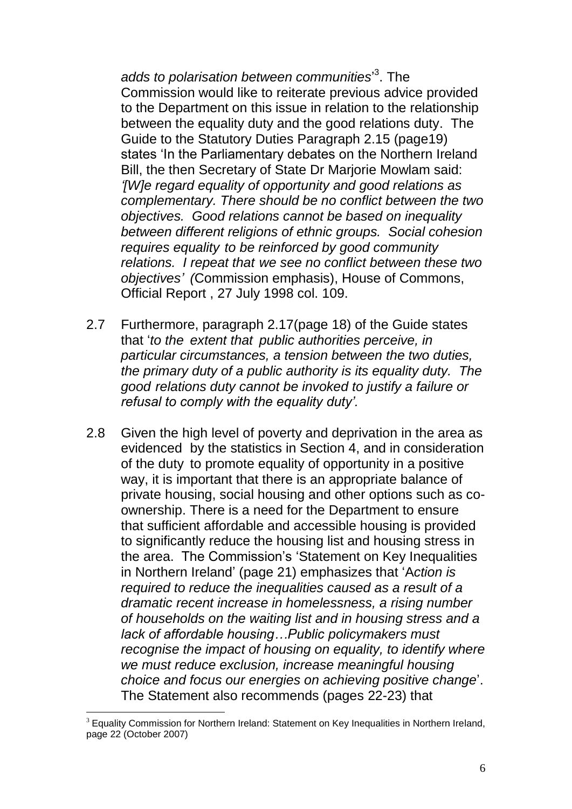*adds to polarisation between communities*' 3 . The Commission would like to reiterate previous advice provided to the Department on this issue in relation to the relationship between the equality duty and the good relations duty. The Guide to the Statutory Duties Paragraph 2.15 (page19) states 'In the Parliamentary debates on the Northern Ireland Bill, the then Secretary of State Dr Marjorie Mowlam said: *'[W]e regard equality of opportunity and good relations as complementary. There should be no conflict between the two objectives. Good relations cannot be based on inequality between different religions of ethnic groups. Social cohesion requires equality to be reinforced by good community relations. I repeat that we see no conflict between these two objectives' (*Commission emphasis), House of Commons, Official Report , 27 July 1998 col. 109.

- 2.7 Furthermore, paragraph 2.17(page 18) of the Guide states that '*to the extent that public authorities perceive, in particular circumstances, a tension between the two duties, the primary duty of a public authority is its equality duty. The good relations duty cannot be invoked to justify a failure or refusal to comply with the equality duty'.*
- 2.8 Given the high level of poverty and deprivation in the area as evidenced by the statistics in Section 4, and in consideration of the duty to promote equality of opportunity in a positive way, it is important that there is an appropriate balance of private housing, social housing and other options such as coownership. There is a need for the Department to ensure that sufficient affordable and accessible housing is provided to significantly reduce the housing list and housing stress in the area. The Commission's 'Statement on Key Inequalities in Northern Ireland' (page 21) emphasizes that 'A*ction is required to reduce the inequalities caused as a result of a dramatic recent increase in homelessness, a rising number of households on the waiting list and in housing stress and a lack of affordable housing…Public policymakers must recognise the impact of housing on equality, to identify where we must reduce exclusion, increase meaningful housing choice and focus our energies on achieving positive change*'. The Statement also recommends (pages 22-23) that

 $\overline{a}$ 

 $3$  Equality Commission for Northern Ireland: Statement on Key Inequalities in Northern Ireland, page 22 (October 2007)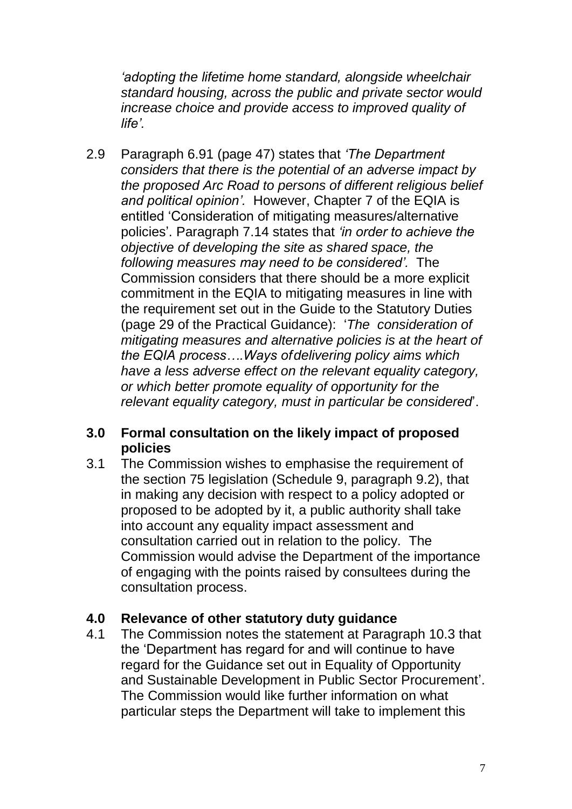*'adopting the lifetime home standard, alongside wheelchair standard housing, across the public and private sector would increase choice and provide access to improved quality of life'.* 

2.9 Paragraph 6.91 (page 47) states that *'The Department considers that there is the potential of an adverse impact by the proposed Arc Road to persons of different religious belief and political opinion'.* However, Chapter 7 of the EQIA is entitled 'Consideration of mitigating measures/alternative policies'. Paragraph 7.14 states that *'in order to achieve the objective of developing the site as shared space, the following measures may need to be considered'.* The Commission considers that there should be a more explicit commitment in the EQIA to mitigating measures in line with the requirement set out in the Guide to the Statutory Duties (page 29 of the Practical Guidance): '*The consideration of mitigating measures and alternative policies is at the heart of the EQIA process….Ways ofdelivering policy aims which have a less adverse effect on the relevant equality category, or which better promote equality of opportunity for the relevant equality category, must in particular be considered*'.

# **3.0 Formal consultation on the likely impact of proposed policies**

3.1 The Commission wishes to emphasise the requirement of the section 75 legislation (Schedule 9, paragraph 9.2), that in making any decision with respect to a policy adopted or proposed to be adopted by it, a public authority shall take into account any equality impact assessment and consultation carried out in relation to the policy. The Commission would advise the Department of the importance of engaging with the points raised by consultees during the consultation process.

### **4.0 Relevance of other statutory duty guidance**

4.1 The Commission notes the statement at Paragraph 10.3 that the 'Department has regard for and will continue to have regard for the Guidance set out in Equality of Opportunity and Sustainable Development in Public Sector Procurement'. The Commission would like further information on what particular steps the Department will take to implement this